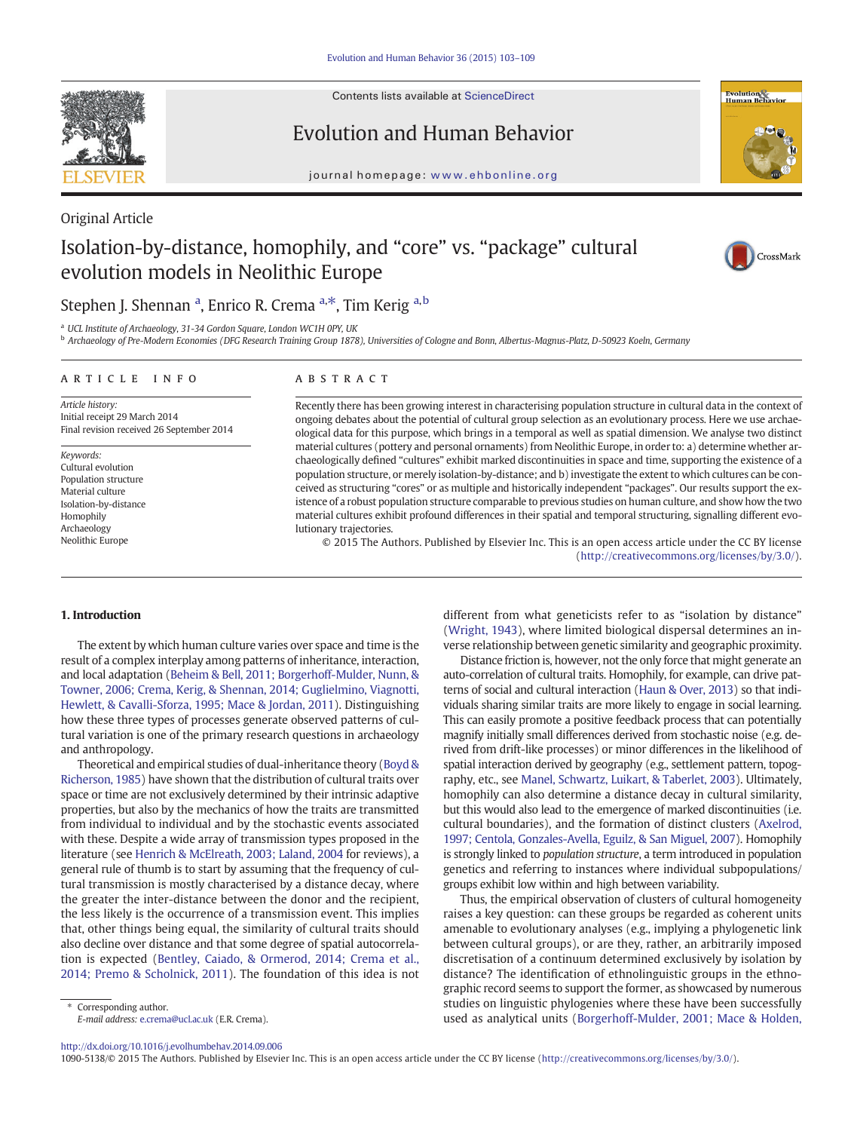

Contents lists available at ScienceDirect

# Evolution and Human Behavior



journal homepage: www.ehbonline.org

### Original Article

# Isolation-by-distance, homophily, and "core" vs. "package" cultural evolution models in Neolithic Europe



## Stephen J. Shennan <sup>a</sup>, Enrico R. Crema <sup>a,\*</sup>, Tim Kerig <sup>a,b</sup>

<sup>a</sup> UCL Institute of Archaeology, 31-34 Gordon Square, London WC1H 0PY, UK

<sup>b</sup> Archaeology of Pre-Modern Economies (DFG Research Training Group 1878), Universities of Cologne and Bonn, Albertus-Magnus-Platz, D-50923 Koeln, Germany

#### article info abstract

Article history: Initial receipt 29 March 2014 Final revision received 26 September 2014

Keywords: Cultural evolution Population structure Material culture Isolation-by-distance Homophily Archaeology Neolithic Europe

Recently there has been growing interest in characterising population structure in cultural data in the context of ongoing debates about the potential of cultural group selection as an evolutionary process. Here we use archaeological data for this purpose, which brings in a temporal as well as spatial dimension. We analyse two distinct material cultures (pottery and personal ornaments) from Neolithic Europe, in order to: a) determine whether archaeologically defined "cultures" exhibit marked discontinuities in space and time, supporting the existence of a population structure, or merely isolation-by-distance; and b) investigate the extent to which cultures can be conceived as structuring "cores" or as multiple and historically independent "packages". Our results support the existence of a robust population structure comparable to previous studies on human culture, and show how the two material cultures exhibit profound differences in their spatial and temporal structuring, signalling different evolutionary trajectories.

© 2015 The Authors. Published by Elsevier Inc. This is an open access article under the CC BY license

(http://creativecommons.org/licenses/by/3.0/).

#### 1. Introduction

The extent by which human culture varies over space and time is the result of a complex interplay among patterns of inheritance, interaction, and local adaptation [\(Beheim & Bell, 2011; Borgerhoff-Mulder, Nunn, &](#page-6-0) [Towner, 2006; Crema, Kerig, & Shennan, 2014; Guglielmino, Viagnotti,](#page-6-0) [Hewlett, & Cavalli-Sforza, 1995; Mace & Jordan, 2011\)](#page-6-0). Distinguishing how these three types of processes generate observed patterns of cultural variation is one of the primary research questions in archaeology and anthropology.

Theoretical and empirical studies of dual-inheritance theory ([Boyd &](#page-6-0) [Richerson, 1985\)](#page-6-0) have shown that the distribution of cultural traits over space or time are not exclusively determined by their intrinsic adaptive properties, but also by the mechanics of how the traits are transmitted from individual to individual and by the stochastic events associated with these. Despite a wide array of transmission types proposed in the literature (see [Henrich & McElreath, 2003; Laland, 2004](#page-6-0) for reviews), a general rule of thumb is to start by assuming that the frequency of cultural transmission is mostly characterised by a distance decay, where the greater the inter-distance between the donor and the recipient, the less likely is the occurrence of a transmission event. This implies that, other things being equal, the similarity of cultural traits should also decline over distance and that some degree of spatial autocorrelation is expected [\(Bentley, Caiado, & Ormerod, 2014; Crema et al.,](#page-6-0) [2014; Premo & Scholnick, 2011\)](#page-6-0). The foundation of this idea is not

Distance friction is, however, not the only force that might generate an auto-correlation of cultural traits. Homophily, for example, can drive patterns of social and cultural interaction ([Haun & Over, 2013\)](#page-6-0) so that individuals sharing similar traits are more likely to engage in social learning. This can easily promote a positive feedback process that can potentially magnify initially small differences derived from stochastic noise (e.g. derived from drift-like processes) or minor differences in the likelihood of spatial interaction derived by geography (e.g., settlement pattern, topography, etc., see [Manel, Schwartz, Luikart, & Taberlet, 2003](#page-6-0)). Ultimately, homophily can also determine a distance decay in cultural similarity, but this would also lead to the emergence of marked discontinuities (i.e. cultural boundaries), and the formation of distinct clusters ([Axelrod,](#page-6-0) [1997; Centola, Gonzales-Avella, Eguilz, & San Miguel, 2007](#page-6-0)). Homophily is strongly linked to population structure, a term introduced in population genetics and referring to instances where individual subpopulations/ groups exhibit low within and high between variability.

Thus, the empirical observation of clusters of cultural homogeneity raises a key question: can these groups be regarded as coherent units amenable to evolutionary analyses (e.g., implying a phylogenetic link between cultural groups), or are they, rather, an arbitrarily imposed discretisation of a continuum determined exclusively by isolation by distance? The identification of ethnolinguistic groups in the ethnographic record seems to support the former, as showcased by numerous studies on linguistic phylogenies where these have been successfully used as analytical units [\(Borgerhoff-Mulder, 2001; Mace & Holden,](#page-6-0)

E-mail address: [e.crema@ucl.ac.uk](mailto:e.crema@ucl.ac.uk) (E.R. Crema). <http://dx.doi.org/10.1016/j.evolhumbehav.2014.09.006>

Corresponding author.

1090-5138/© 2015 The Authors. Published by Elsevier Inc. This is an open access article under the CC BY license (http://creativecommons.org/licenses/by/3.0/).

different from what geneticists refer to as "isolation by distance" [\(Wright, 1943](#page-6-0)), where limited biological dispersal determines an inverse relationship between genetic similarity and geographic proximity.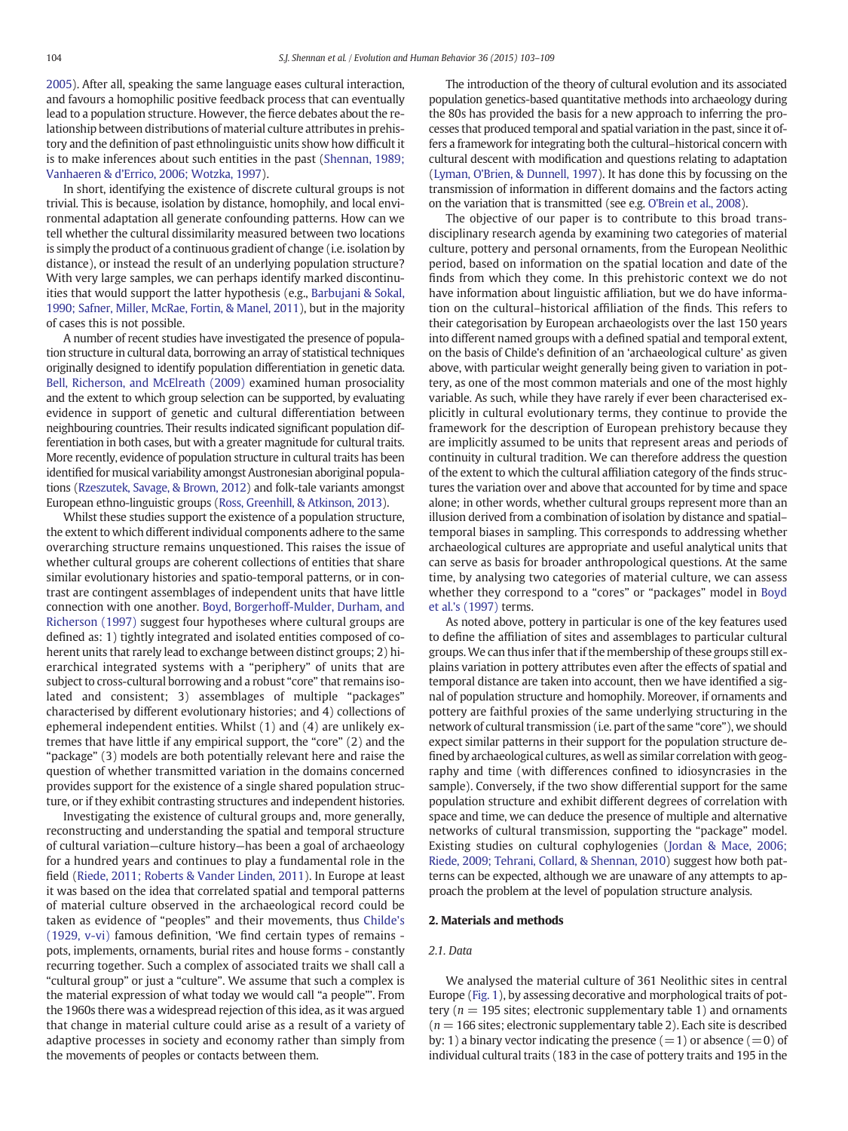[2005](#page-6-0)). After all, speaking the same language eases cultural interaction, and favours a homophilic positive feedback process that can eventually lead to a population structure. However, the fierce debates about the relationship between distributions of material culture attributes in prehistory and the definition of past ethnolinguistic units show how difficult it is to make inferences about such entities in the past [\(Shennan, 1989;](#page-6-0) Vanhaeren & d'[Errico, 2006; Wotzka, 1997](#page-6-0)).

In short, identifying the existence of discrete cultural groups is not trivial. This is because, isolation by distance, homophily, and local environmental adaptation all generate confounding patterns. How can we tell whether the cultural dissimilarity measured between two locations is simply the product of a continuous gradient of change (i.e. isolation by distance), or instead the result of an underlying population structure? With very large samples, we can perhaps identify marked discontinuities that would support the latter hypothesis (e.g., [Barbujani & Sokal,](#page-6-0) [1990; Safner, Miller, McRae, Fortin, & Manel, 2011\)](#page-6-0), but in the majority of cases this is not possible.

A number of recent studies have investigated the presence of population structure in cultural data, borrowing an array of statistical techniques originally designed to identify population differentiation in genetic data. [Bell, Richerson, and McElreath \(2009\)](#page-6-0) examined human prosociality and the extent to which group selection can be supported, by evaluating evidence in support of genetic and cultural differentiation between neighbouring countries. Their results indicated significant population differentiation in both cases, but with a greater magnitude for cultural traits. More recently, evidence of population structure in cultural traits has been identified for musical variability amongst Austronesian aboriginal populations [\(Rzeszutek, Savage, & Brown, 2012](#page-6-0)) and folk-tale variants amongst European ethno-linguistic groups [\(Ross, Greenhill, & Atkinson, 2013\)](#page-6-0).

Whilst these studies support the existence of a population structure, the extent to which different individual components adhere to the same overarching structure remains unquestioned. This raises the issue of whether cultural groups are coherent collections of entities that share similar evolutionary histories and spatio-temporal patterns, or in contrast are contingent assemblages of independent units that have little connection with one another. [Boyd, Borgerhoff-Mulder, Durham, and](#page-6-0) [Richerson \(1997\)](#page-6-0) suggest four hypotheses where cultural groups are defined as: 1) tightly integrated and isolated entities composed of coherent units that rarely lead to exchange between distinct groups; 2) hierarchical integrated systems with a "periphery" of units that are subject to cross-cultural borrowing and a robust "core" that remains isolated and consistent; 3) assemblages of multiple "packages" characterised by different evolutionary histories; and 4) collections of ephemeral independent entities. Whilst (1) and (4) are unlikely extremes that have little if any empirical support, the "core" (2) and the "package" (3) models are both potentially relevant here and raise the question of whether transmitted variation in the domains concerned provides support for the existence of a single shared population structure, or if they exhibit contrasting structures and independent histories.

Investigating the existence of cultural groups and, more generally, reconstructing and understanding the spatial and temporal structure of cultural variation—culture history—has been a goal of archaeology for a hundred years and continues to play a fundamental role in the field [\(Riede, 2011; Roberts & Vander Linden, 2011](#page-6-0)). In Europe at least it was based on the idea that correlated spatial and temporal patterns of material culture observed in the archaeological record could be taken as evidence of "peoples" and their movements, thus [Childe's](#page-6-0) [\(1929, v-vi\)](#page-6-0) famous definition, 'We find certain types of remains pots, implements, ornaments, burial rites and house forms - constantly recurring together. Such a complex of associated traits we shall call a "cultural group" or just a "culture". We assume that such a complex is the material expression of what today we would call "a people"'. From the 1960s there was a widespread rejection of this idea, as it was argued that change in material culture could arise as a result of a variety of adaptive processes in society and economy rather than simply from the movements of peoples or contacts between them.

The introduction of the theory of cultural evolution and its associated population genetics-based quantitative methods into archaeology during the 80s has provided the basis for a new approach to inferring the processes that produced temporal and spatial variation in the past, since it offers a framework for integrating both the cultural–historical concern with cultural descent with modification and questions relating to adaptation (Lyman, O'[Brien, & Dunnell, 1997\)](#page-6-0). It has done this by focussing on the transmission of information in different domains and the factors acting on the variation that is transmitted (see e.g. [O'Brein et al., 2008\)](#page-6-0).

The objective of our paper is to contribute to this broad transdisciplinary research agenda by examining two categories of material culture, pottery and personal ornaments, from the European Neolithic period, based on information on the spatial location and date of the finds from which they come. In this prehistoric context we do not have information about linguistic affiliation, but we do have information on the cultural–historical affiliation of the finds. This refers to their categorisation by European archaeologists over the last 150 years into different named groups with a defined spatial and temporal extent, on the basis of Childe's definition of an 'archaeological culture' as given above, with particular weight generally being given to variation in pottery, as one of the most common materials and one of the most highly variable. As such, while they have rarely if ever been characterised explicitly in cultural evolutionary terms, they continue to provide the framework for the description of European prehistory because they are implicitly assumed to be units that represent areas and periods of continuity in cultural tradition. We can therefore address the question of the extent to which the cultural affiliation category of the finds structures the variation over and above that accounted for by time and space alone; in other words, whether cultural groups represent more than an illusion derived from a combination of isolation by distance and spatial– temporal biases in sampling. This corresponds to addressing whether archaeological cultures are appropriate and useful analytical units that can serve as basis for broader anthropological questions. At the same time, by analysing two categories of material culture, we can assess whether they correspond to a "cores" or "packages" model in [Boyd](#page-6-0) [et al.'s \(1997\)](#page-6-0) terms.

As noted above, pottery in particular is one of the key features used to define the affiliation of sites and assemblages to particular cultural groups. We can thus infer that if the membership of these groups still explains variation in pottery attributes even after the effects of spatial and temporal distance are taken into account, then we have identified a signal of population structure and homophily. Moreover, if ornaments and pottery are faithful proxies of the same underlying structuring in the network of cultural transmission (i.e. part of the same "core"), we should expect similar patterns in their support for the population structure defined by archaeological cultures, as well as similar correlation with geography and time (with differences confined to idiosyncrasies in the sample). Conversely, if the two show differential support for the same population structure and exhibit different degrees of correlation with space and time, we can deduce the presence of multiple and alternative networks of cultural transmission, supporting the "package" model. Existing studies on cultural cophylogenies [\(Jordan & Mace, 2006;](#page-6-0) [Riede, 2009; Tehrani, Collard, & Shennan, 2010](#page-6-0)) suggest how both patterns can be expected, although we are unaware of any attempts to approach the problem at the level of population structure analysis.

#### 2. Materials and methods

#### 2.1. Data

We analysed the material culture of 361 Neolithic sites in central Europe ([Fig. 1](#page-2-0)), by assessing decorative and morphological traits of pottery ( $n = 195$  sites; electronic supplementary table 1) and ornaments  $(n = 166$  sites; electronic supplementary table 2). Each site is described by: 1) a binary vector indicating the presence  $(=1)$  or absence  $(=0)$  of individual cultural traits (183 in the case of pottery traits and 195 in the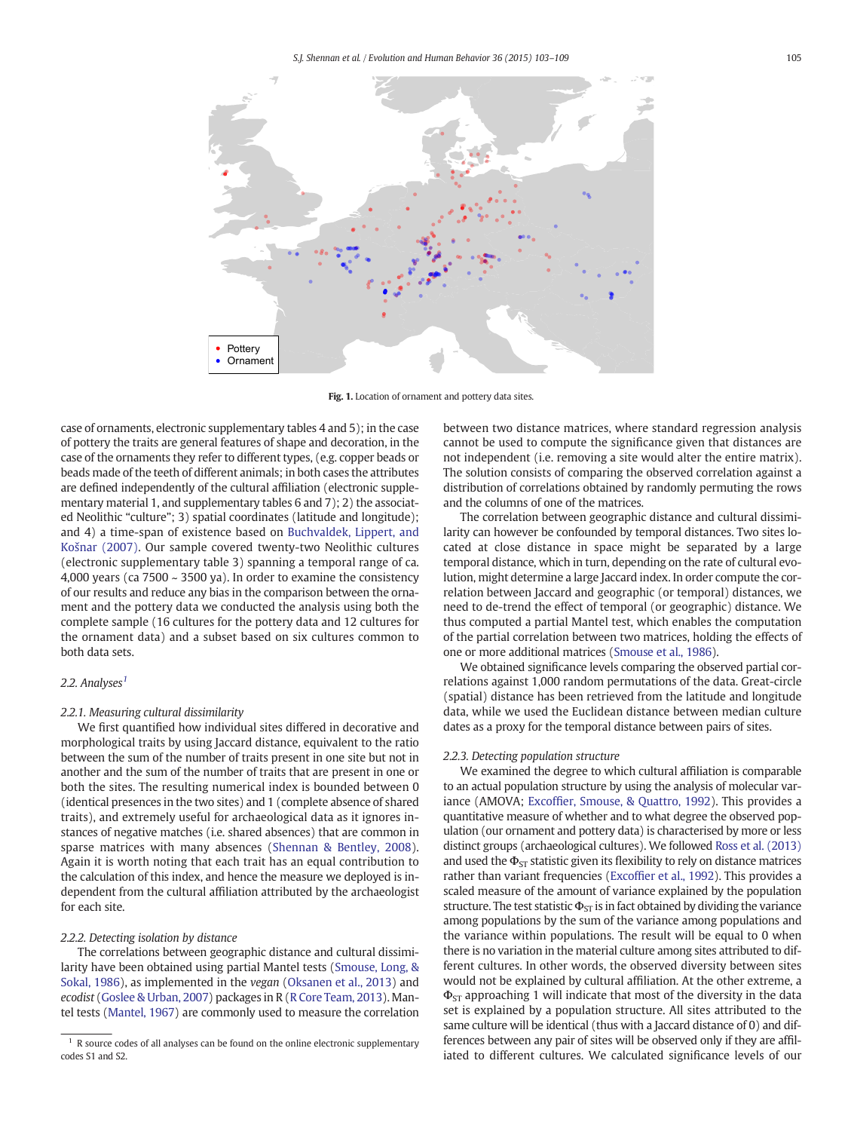<span id="page-2-0"></span>

Fig. 1. Location of ornament and pottery data sites.

case of ornaments, electronic supplementary tables 4 and 5); in the case of pottery the traits are general features of shape and decoration, in the case of the ornaments they refer to different types, (e.g. copper beads or beads made of the teeth of different animals; in both cases the attributes are defined independently of the cultural affiliation (electronic supplementary material 1, and supplementary tables 6 and 7); 2) the associated Neolithic "culture"; 3) spatial coordinates (latitude and longitude); and 4) a time-span of existence based on [Buchvaldek, Lippert, and](#page-6-0) Koš[nar \(2007\).](#page-6-0) Our sample covered twenty-two Neolithic cultures (electronic supplementary table 3) spanning a temporal range of ca. 4,000 years (ca 7500 ~ 3500 ya). In order to examine the consistency of our results and reduce any bias in the comparison between the ornament and the pottery data we conducted the analysis using both the complete sample (16 cultures for the pottery data and 12 cultures for the ornament data) and a subset based on six cultures common to both data sets.

### 2.2. Analyses $<sup>1</sup>$ </sup>

#### 2.2.1. Measuring cultural dissimilarity

We first quantified how individual sites differed in decorative and morphological traits by using Jaccard distance, equivalent to the ratio between the sum of the number of traits present in one site but not in another and the sum of the number of traits that are present in one or both the sites. The resulting numerical index is bounded between 0 (identical presences in the two sites) and 1 (complete absence of shared traits), and extremely useful for archaeological data as it ignores instances of negative matches (i.e. shared absences) that are common in sparse matrices with many absences ([Shennan & Bentley, 2008](#page-6-0)). Again it is worth noting that each trait has an equal contribution to the calculation of this index, and hence the measure we deployed is independent from the cultural affiliation attributed by the archaeologist for each site.

#### 2.2.2. Detecting isolation by distance

The correlations between geographic distance and cultural dissimilarity have been obtained using partial Mantel tests ([Smouse, Long, &](#page-6-0) [Sokal, 1986\)](#page-6-0), as implemented in the vegan [\(Oksanen et al., 2013](#page-6-0)) and ecodist [\(Goslee & Urban, 2007\)](#page-6-0) packages in R [\(R Core Team, 2013\)](#page-6-0). Mantel tests ([Mantel, 1967](#page-6-0)) are commonly used to measure the correlation

between two distance matrices, where standard regression analysis cannot be used to compute the significance given that distances are not independent (i.e. removing a site would alter the entire matrix). The solution consists of comparing the observed correlation against a distribution of correlations obtained by randomly permuting the rows and the columns of one of the matrices.

The correlation between geographic distance and cultural dissimilarity can however be confounded by temporal distances. Two sites located at close distance in space might be separated by a large temporal distance, which in turn, depending on the rate of cultural evolution, might determine a large Jaccard index. In order compute the correlation between Jaccard and geographic (or temporal) distances, we need to de-trend the effect of temporal (or geographic) distance. We thus computed a partial Mantel test, which enables the computation of the partial correlation between two matrices, holding the effects of one or more additional matrices [\(Smouse et al., 1986](#page-6-0)).

We obtained significance levels comparing the observed partial correlations against 1,000 random permutations of the data. Great-circle (spatial) distance has been retrieved from the latitude and longitude data, while we used the Euclidean distance between median culture dates as a proxy for the temporal distance between pairs of sites.

#### 2.2.3. Detecting population structure

We examined the degree to which cultural affiliation is comparable to an actual population structure by using the analysis of molecular variance (AMOVA; Excoffi[er, Smouse, & Quattro, 1992\)](#page-6-0). This provides a quantitative measure of whether and to what degree the observed population (our ornament and pottery data) is characterised by more or less distinct groups (archaeological cultures). We followed [Ross et al. \(2013\)](#page-6-0) and used the  $\Phi_{ST}$  statistic given its flexibility to rely on distance matrices rather than variant frequencies (Excoffi[er et al., 1992](#page-6-0)). This provides a scaled measure of the amount of variance explained by the population structure. The test statistic  $\Phi_{ST}$  is in fact obtained by dividing the variance among populations by the sum of the variance among populations and the variance within populations. The result will be equal to 0 when there is no variation in the material culture among sites attributed to different cultures. In other words, the observed diversity between sites would not be explained by cultural affiliation. At the other extreme, a  $\Phi_{ST}$  approaching 1 will indicate that most of the diversity in the data set is explained by a population structure. All sites attributed to the same culture will be identical (thus with a Jaccard distance of 0) and differences between any pair of sites will be observed only if they are affiliated to different cultures. We calculated significance levels of our

 $1$  R source codes of all analyses can be found on the online electronic supplementary codes S1 and S2.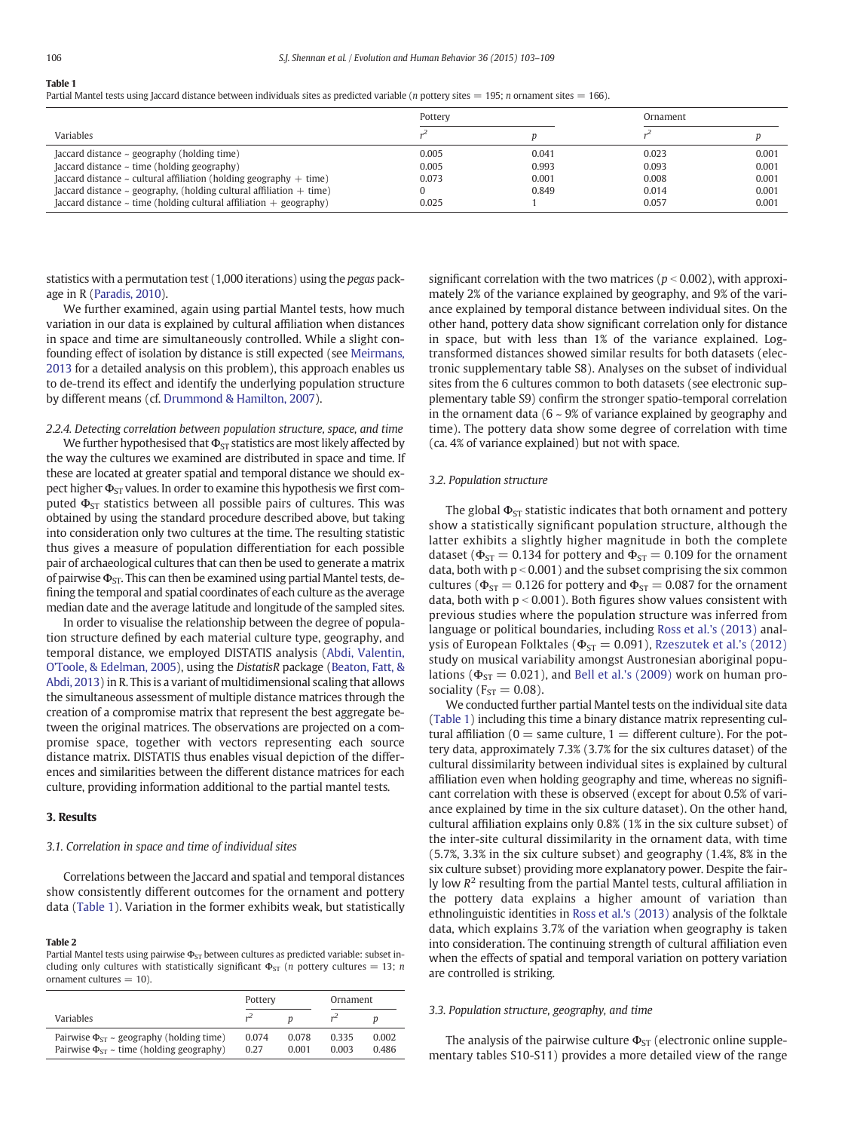#### <span id="page-3-0"></span>Table 1

Partial Mantel tests using Jaccard distance between individuals sites as predicted variable (n pottery sites = 195; n ornament sites = 166).

|                                                                            | Pottery |       | Ornament |       |
|----------------------------------------------------------------------------|---------|-------|----------|-------|
| Variables                                                                  |         |       |          |       |
| Jaccard distance $\sim$ geography (holding time)                           | 0.005   | 0.041 | 0.023    | 0.001 |
| $[accard distance ~ time (holding geography)]$                             | 0.005   | 0.993 | 0.093    | 0.001 |
| Jaccard distance $\sim$ cultural affiliation (holding geography $+$ time)  | 0.073   | 0.001 | 0.008    | 0.001 |
| Jaccard distance $\sim$ geography, (holding cultural affiliation $+$ time) |         | 0.849 | 0.014    | 0.001 |
| Jaccard distance $\sim$ time (holding cultural affiliation $+$ geography)  | 0.025   |       | 0.057    | 0.001 |

statistics with a permutation test (1,000 iterations) using the pegas package in R [\(Paradis, 2010\)](#page-6-0).

We further examined, again using partial Mantel tests, how much variation in our data is explained by cultural affiliation when distances in space and time are simultaneously controlled. While a slight confounding effect of isolation by distance is still expected (see [Meirmans,](#page-6-0) [2013](#page-6-0) for a detailed analysis on this problem), this approach enables us to de-trend its effect and identify the underlying population structure by different means (cf. [Drummond & Hamilton, 2007\)](#page-6-0).

#### 2.2.4. Detecting correlation between population structure, space, and time

We further hypothesised that  $\Phi_{ST}$  statistics are most likely affected by the way the cultures we examined are distributed in space and time. If these are located at greater spatial and temporal distance we should expect higher  $\Phi_{ST}$  values. In order to examine this hypothesis we first computed  $\Phi_{ST}$  statistics between all possible pairs of cultures. This was obtained by using the standard procedure described above, but taking into consideration only two cultures at the time. The resulting statistic thus gives a measure of population differentiation for each possible pair of archaeological cultures that can then be used to generate a matrix of pairwise  $\Phi_{ST}$ . This can then be examined using partial Mantel tests, defining the temporal and spatial coordinates of each culture as the average median date and the average latitude and longitude of the sampled sites.

In order to visualise the relationship between the degree of population structure defined by each material culture type, geography, and temporal distance, we employed DISTATIS analysis ([Abdi, Valentin,](#page-6-0) O'[Toole, & Edelman, 2005](#page-6-0)), using the DistatisR package [\(Beaton, Fatt, &](#page-6-0) [Abdi, 2013\)](#page-6-0) in R. This is a variant of multidimensional scaling that allows the simultaneous assessment of multiple distance matrices through the creation of a compromise matrix that represent the best aggregate between the original matrices. The observations are projected on a compromise space, together with vectors representing each source distance matrix. DISTATIS thus enables visual depiction of the differences and similarities between the different distance matrices for each culture, providing information additional to the partial mantel tests.

#### 3. Results

#### 3.1. Correlation in space and time of individual sites

Correlations between the Jaccard and spatial and temporal distances show consistently different outcomes for the ornament and pottery data (Table 1). Variation in the former exhibits weak, but statistically

#### Table 2

Partial Mantel tests using pairwise  $\Phi_{ST}$  between cultures as predicted variable: subset including only cultures with statistically significant  $\Phi_{ST}$  (*n* pottery cultures = 13; *n* ornament cultures  $= 10$ ).

|                                                                                                       | Pottery       |                | Ornament       |                |
|-------------------------------------------------------------------------------------------------------|---------------|----------------|----------------|----------------|
| Variables                                                                                             |               |                |                |                |
| Pairwise $\Phi_{ST}$ ~ geography (holding time)<br>Pairwise $\Phi_{ST} \sim$ time (holding geography) | 0.074<br>0.27 | 0.078<br>0.001 | 0.335<br>0.003 | 0.002<br>0.486 |

significant correlation with the two matrices ( $p < 0.002$ ), with approximately 2% of the variance explained by geography, and 9% of the variance explained by temporal distance between individual sites. On the other hand, pottery data show significant correlation only for distance in space, but with less than 1% of the variance explained. Logtransformed distances showed similar results for both datasets (electronic supplementary table S8). Analyses on the subset of individual sites from the 6 cultures common to both datasets (see electronic supplementary table S9) confirm the stronger spatio-temporal correlation in the ornament data ( $6 \sim 9\%$  of variance explained by geography and time). The pottery data show some degree of correlation with time (ca. 4% of variance explained) but not with space.

#### 3.2. Population structure

The global  $\Phi_{ST}$  statistic indicates that both ornament and pottery show a statistically significant population structure, although the latter exhibits a slightly higher magnitude in both the complete dataset ( $\Phi_{ST} = 0.134$  for pottery and  $\Phi_{ST} = 0.109$  for the ornament data, both with  $p < 0.001$ ) and the subset comprising the six common cultures ( $\Phi_{ST}$  = 0.126 for pottery and  $\Phi_{ST}$  = 0.087 for the ornament data, both with  $p < 0.001$ ). Both figures show values consistent with previous studies where the population structure was inferred from language or political boundaries, including [Ross et al.'s \(2013\)](#page-6-0) analysis of European Folktales ( $\Phi_{ST} = 0.091$ ), [Rzeszutek et al.'s \(2012\)](#page-6-0) study on musical variability amongst Austronesian aboriginal populations ( $\Phi_{ST} = 0.021$ ), and [Bell et al.'s \(2009\)](#page-6-0) work on human prosociality ( $F_{ST} = 0.08$ ).

We conducted further partial Mantel tests on the individual site data (Table 1) including this time a binary distance matrix representing cultural affiliation ( $0 =$  same culture,  $1 =$  different culture). For the pottery data, approximately 7.3% (3.7% for the six cultures dataset) of the cultural dissimilarity between individual sites is explained by cultural affiliation even when holding geography and time, whereas no significant correlation with these is observed (except for about 0.5% of variance explained by time in the six culture dataset). On the other hand, cultural affiliation explains only 0.8% (1% in the six culture subset) of the inter-site cultural dissimilarity in the ornament data, with time (5.7%, 3.3% in the six culture subset) and geography (1.4%, 8% in the six culture subset) providing more explanatory power. Despite the fairly low  $R^2$  resulting from the partial Mantel tests, cultural affiliation in the pottery data explains a higher amount of variation than ethnolinguistic identities in [Ross et al.'s \(2013\)](#page-6-0) analysis of the folktale data, which explains 3.7% of the variation when geography is taken into consideration. The continuing strength of cultural affiliation even when the effects of spatial and temporal variation on pottery variation are controlled is striking.

#### 3.3. Population structure, geography, and time

The analysis of the pairwise culture  $\Phi_{ST}$  (electronic online supplementary tables S10-S11) provides a more detailed view of the range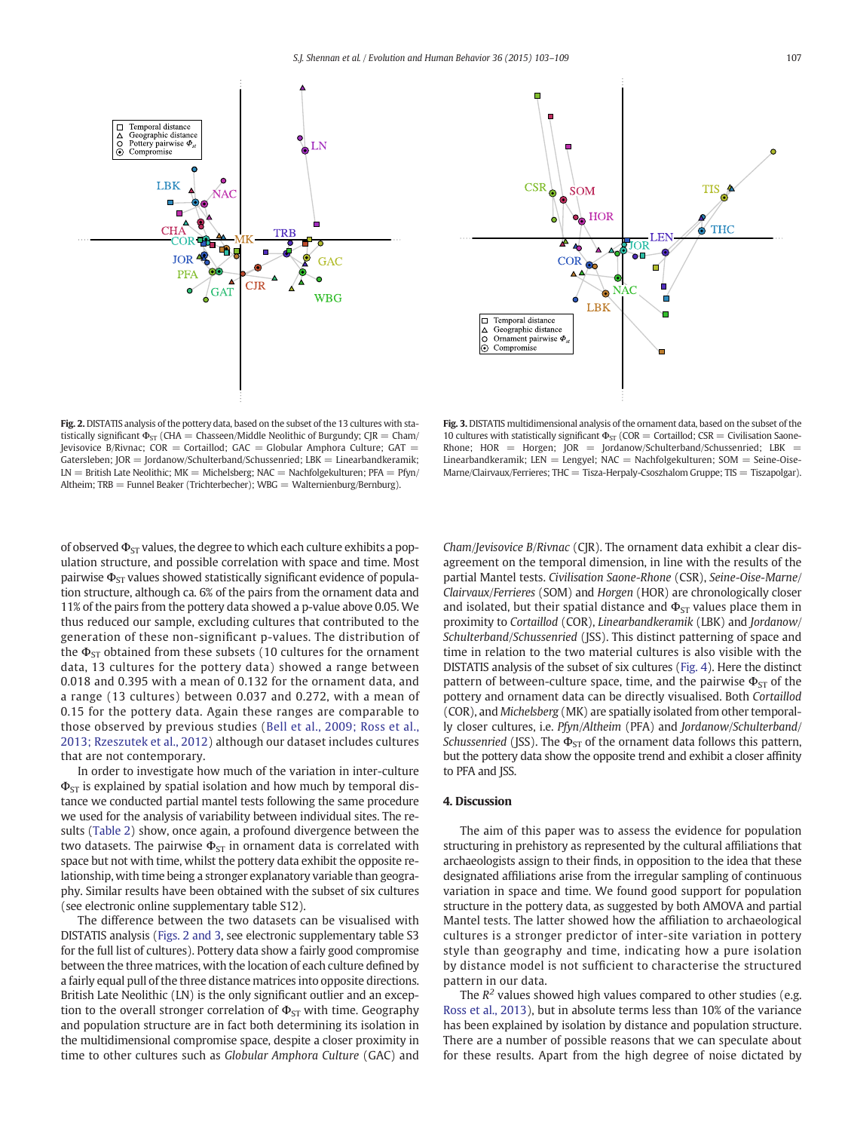



Fig. 2. DISTATIS analysis of the pottery data, based on the subset of the 13 cultures with statistically significant  $\Phi_{ST}$  (CHA = Chasseen/Middle Neolithic of Burgundy; CJR = Cham/ Jevisovice B/Rivnac;  $COR = Corta$ illod;  $GAC = Globalar$  Amphora Culture;  $GAT =$ Gatersleben; JOR = Jordanow/Schulterband/Schussenried; LBK = Linearbandkeramik;  $LN =$  British Late Neolithic;  $MK =$  Michelsberg;  $NAC =$  Nachfolgekulturen;  $PFA = Pfyn/$ Altheim; TRB = Funnel Beaker (Trichterbecher); WBG = Walternienburg/Bernburg).

Fig. 3. DISTATIS multidimensional analysis of the ornament data, based on the subset of the 10 cultures with statistically significant  $\Phi_{ST}$  (COR = Cortaillod; CSR = Civilisation Saone-Rhone;  $HOR = Horgen$ ;  $JOR = Jordanow/Schulerband/Schussenried$ ;  $LBK =$ Linearbandkeramik; LEN = Lengyel; NAC = Nachfolgekulturen; SOM = Seine-Oise- $M$ arne/Clairvaux/Ferrieres; THC = Tisza-Herpaly-Csoszhalom Gruppe; TIS = Tiszapolgar).

of observed  $\Phi_{ST}$  values, the degree to which each culture exhibits a population structure, and possible correlation with space and time. Most pairwise  $\Phi_{ST}$  values showed statistically significant evidence of population structure, although ca. 6% of the pairs from the ornament data and 11% of the pairs from the pottery data showed a p-value above 0.05. We thus reduced our sample, excluding cultures that contributed to the generation of these non-significant p-values. The distribution of the  $\Phi_{ST}$  obtained from these subsets (10 cultures for the ornament data, 13 cultures for the pottery data) showed a range between 0.018 and 0.395 with a mean of 0.132 for the ornament data, and a range (13 cultures) between 0.037 and 0.272, with a mean of 0.15 for the pottery data. Again these ranges are comparable to those observed by previous studies ([Bell et al., 2009; Ross et al.,](#page-6-0) [2013; Rzeszutek et al., 2012\)](#page-6-0) although our dataset includes cultures that are not contemporary.

In order to investigate how much of the variation in inter-culture  $\Phi_{ST}$  is explained by spatial isolation and how much by temporal distance we conducted partial mantel tests following the same procedure we used for the analysis of variability between individual sites. The results [\(Table 2](#page-3-0)) show, once again, a profound divergence between the two datasets. The pairwise  $\Phi_{ST}$  in ornament data is correlated with space but not with time, whilst the pottery data exhibit the opposite relationship, with time being a stronger explanatory variable than geography. Similar results have been obtained with the subset of six cultures (see electronic online supplementary table S12).

The difference between the two datasets can be visualised with DISTATIS analysis (Figs. 2 and 3, see electronic supplementary table S3 for the full list of cultures). Pottery data show a fairly good compromise between the three matrices, with the location of each culture defined by a fairly equal pull of the three distance matrices into opposite directions. British Late Neolithic (LN) is the only significant outlier and an exception to the overall stronger correlation of  $\Phi_{ST}$  with time. Geography and population structure are in fact both determining its isolation in the multidimensional compromise space, despite a closer proximity in time to other cultures such as Globular Amphora Culture (GAC) and Cham/Jevisovice B/Rivnac (CJR). The ornament data exhibit a clear disagreement on the temporal dimension, in line with the results of the partial Mantel tests. Civilisation Saone-Rhone (CSR), Seine-Oise-Marne/ Clairvaux/Ferrieres (SOM) and Horgen (HOR) are chronologically closer and isolated, but their spatial distance and  $\Phi_{ST}$  values place them in proximity to Cortaillod (COR), Linearbandkeramik (LBK) and Jordanow/ Schulterband/Schussenried (JSS). This distinct patterning of space and time in relation to the two material cultures is also visible with the DISTATIS analysis of the subset of six cultures ([Fig. 4](#page-5-0)). Here the distinct pattern of between-culture space, time, and the pairwise  $\Phi_{ST}$  of the pottery and ornament data can be directly visualised. Both Cortaillod (COR), and Michelsberg (MK) are spatially isolated from other temporally closer cultures, i.e. Pfyn/Altheim (PFA) and Jordanow/Schulterband/ Schussenried (JSS). The  $\Phi_{ST}$  of the ornament data follows this pattern, but the pottery data show the opposite trend and exhibit a closer affinity to PFA and JSS.

#### 4. Discussion

The aim of this paper was to assess the evidence for population structuring in prehistory as represented by the cultural affiliations that archaeologists assign to their finds, in opposition to the idea that these designated affiliations arise from the irregular sampling of continuous variation in space and time. We found good support for population structure in the pottery data, as suggested by both AMOVA and partial Mantel tests. The latter showed how the affiliation to archaeological cultures is a stronger predictor of inter-site variation in pottery style than geography and time, indicating how a pure isolation by distance model is not sufficient to characterise the structured pattern in our data.

The  $R^2$  values showed high values compared to other studies (e.g. [Ross et al., 2013\)](#page-6-0), but in absolute terms less than 10% of the variance has been explained by isolation by distance and population structure. There are a number of possible reasons that we can speculate about for these results. Apart from the high degree of noise dictated by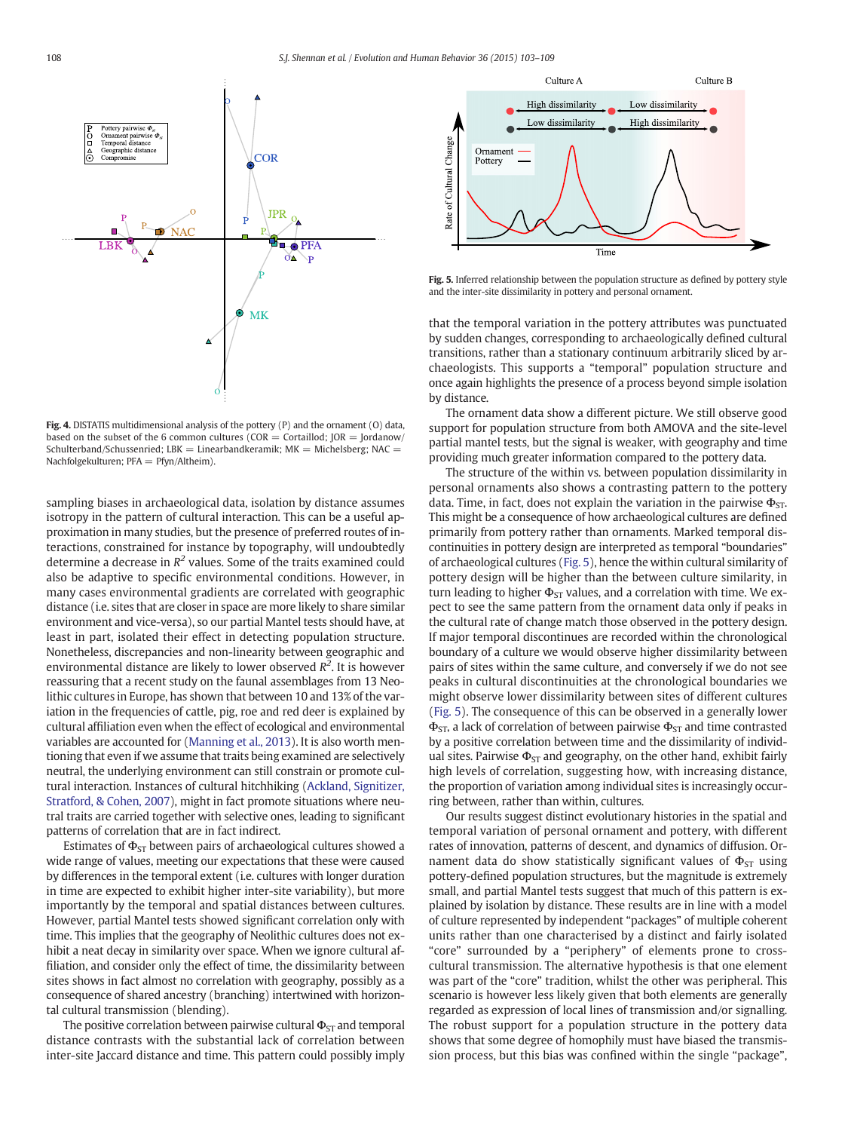<span id="page-5-0"></span>

Fig. 4. DISTATIS multidimensional analysis of the pottery (P) and the ornament (O) data, based on the subset of the 6 common cultures ( $COR = Corta$ illod; JOR = Jordanow/ Schulterband/Schussenried; LBK = Linearbandkeramik;  $MK =$  Michelsberg; NAC = Nachfolgekulturen; PFA = Pfyn/Altheim).

sampling biases in archaeological data, isolation by distance assumes isotropy in the pattern of cultural interaction. This can be a useful approximation in many studies, but the presence of preferred routes of interactions, constrained for instance by topography, will undoubtedly determine a decrease in  $R^2$  values. Some of the traits examined could also be adaptive to specific environmental conditions. However, in many cases environmental gradients are correlated with geographic distance (i.e. sites that are closer in space are more likely to share similar environment and vice-versa), so our partial Mantel tests should have, at least in part, isolated their effect in detecting population structure. Nonetheless, discrepancies and non-linearity between geographic and environmental distance are likely to lower observed  $R^2$ . It is however reassuring that a recent study on the faunal assemblages from 13 Neolithic cultures in Europe, has shown that between 10 and 13% of the variation in the frequencies of cattle, pig, roe and red deer is explained by cultural affiliation even when the effect of ecological and environmental variables are accounted for [\(Manning et al., 2013\)](#page-6-0). It is also worth mentioning that even if we assume that traits being examined are selectively neutral, the underlying environment can still constrain or promote cultural interaction. Instances of cultural hitchhiking [\(Ackland, Signitizer,](#page-6-0) [Stratford, & Cohen, 2007\)](#page-6-0), might in fact promote situations where neutral traits are carried together with selective ones, leading to significant patterns of correlation that are in fact indirect.

Estimates of  $\Phi_{ST}$  between pairs of archaeological cultures showed a wide range of values, meeting our expectations that these were caused by differences in the temporal extent (i.e. cultures with longer duration in time are expected to exhibit higher inter-site variability), but more importantly by the temporal and spatial distances between cultures. However, partial Mantel tests showed significant correlation only with time. This implies that the geography of Neolithic cultures does not exhibit a neat decay in similarity over space. When we ignore cultural affiliation, and consider only the effect of time, the dissimilarity between sites shows in fact almost no correlation with geography, possibly as a consequence of shared ancestry (branching) intertwined with horizontal cultural transmission (blending).

The positive correlation between pairwise cultural  $\Phi_{ST}$  and temporal distance contrasts with the substantial lack of correlation between inter-site Jaccard distance and time. This pattern could possibly imply



Fig. 5. Inferred relationship between the population structure as defined by pottery style and the inter-site dissimilarity in pottery and personal ornament.

that the temporal variation in the pottery attributes was punctuated by sudden changes, corresponding to archaeologically defined cultural transitions, rather than a stationary continuum arbitrarily sliced by archaeologists. This supports a "temporal" population structure and once again highlights the presence of a process beyond simple isolation by distance.

The ornament data show a different picture. We still observe good support for population structure from both AMOVA and the site-level partial mantel tests, but the signal is weaker, with geography and time providing much greater information compared to the pottery data.

The structure of the within vs. between population dissimilarity in personal ornaments also shows a contrasting pattern to the pottery data. Time, in fact, does not explain the variation in the pairwise  $\Phi_{ST}$ . This might be a consequence of how archaeological cultures are defined primarily from pottery rather than ornaments. Marked temporal discontinuities in pottery design are interpreted as temporal "boundaries" of archaeological cultures (Fig. 5), hence the within cultural similarity of pottery design will be higher than the between culture similarity, in turn leading to higher  $\Phi_{ST}$  values, and a correlation with time. We expect to see the same pattern from the ornament data only if peaks in the cultural rate of change match those observed in the pottery design. If major temporal discontinues are recorded within the chronological boundary of a culture we would observe higher dissimilarity between pairs of sites within the same culture, and conversely if we do not see peaks in cultural discontinuities at the chronological boundaries we might observe lower dissimilarity between sites of different cultures (Fig. 5). The consequence of this can be observed in a generally lower  $\Phi_{ST}$ , a lack of correlation of between pairwise  $\Phi_{ST}$  and time contrasted by a positive correlation between time and the dissimilarity of individual sites. Pairwise  $\Phi_{ST}$  and geography, on the other hand, exhibit fairly high levels of correlation, suggesting how, with increasing distance, the proportion of variation among individual sites is increasingly occurring between, rather than within, cultures.

Our results suggest distinct evolutionary histories in the spatial and temporal variation of personal ornament and pottery, with different rates of innovation, patterns of descent, and dynamics of diffusion. Ornament data do show statistically significant values of  $\Phi_{ST}$  using pottery-defined population structures, but the magnitude is extremely small, and partial Mantel tests suggest that much of this pattern is explained by isolation by distance. These results are in line with a model of culture represented by independent "packages" of multiple coherent units rather than one characterised by a distinct and fairly isolated "core" surrounded by a "periphery" of elements prone to crosscultural transmission. The alternative hypothesis is that one element was part of the "core" tradition, whilst the other was peripheral. This scenario is however less likely given that both elements are generally regarded as expression of local lines of transmission and/or signalling. The robust support for a population structure in the pottery data shows that some degree of homophily must have biased the transmission process, but this bias was confined within the single "package",